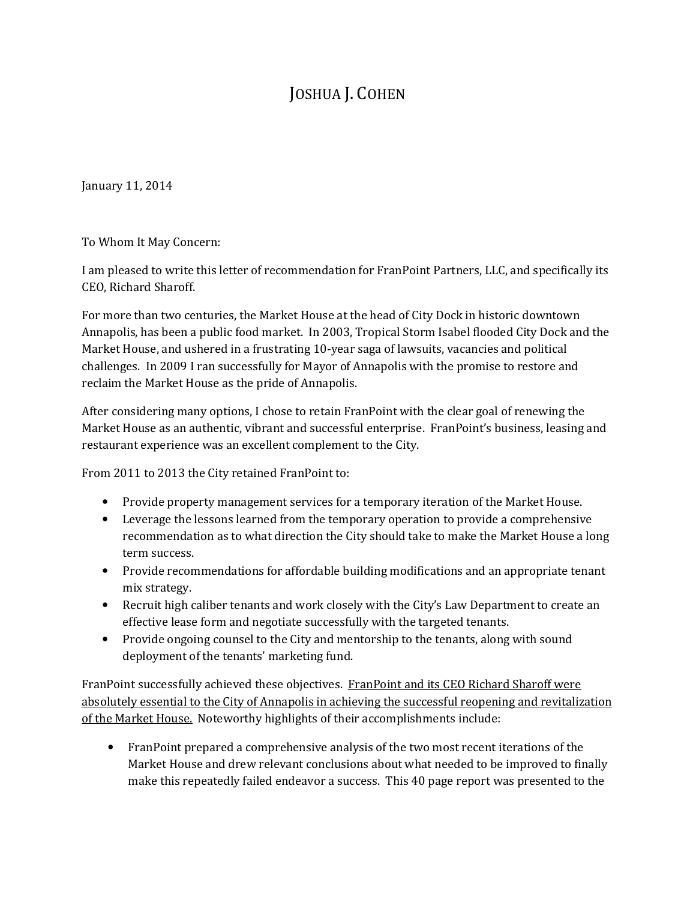## JOSHUA J. COHEN

January 11, 2014

To Whom It May Concern:

I am pleased to write this letter of recommendation for FranPoint Partners, LLC, and specifically its CEO, Richard Sharoff.

For more than two centuries, the Market House at the head of City Dock in historic downtown Annapolis, has been a public food market. In 2003, Tropical Storm Isabel flooded City Dock and the Market House, and ushered in a frustrating 10-year saga of lawsuits, vacancies and political challenges. In 2009 I ran successfully for Mayor of Annapolis with the promise to restore and reclaim the Market House as the pride of Annapolis.

After considering many options, I chose to retain FranPoint with the clear goal of renewing the Market House as an authentic, vibrant and successful enterprise. FranPoint's business, leasing and restaurant experience was an excellent complement to the City.

From 2011 to 2013 the City retained FranPoint to:

- Provide property management services for a temporary iteration of the Market House.
- Leverage the lessons learned from the temporary operation to provide a comprehensive recommendation as to what direction the City should take to make the Market House a long term success.
- Provide recommendations for affordable building modifications and an appropriate tenant mix strategy.
- Recruit high caliber tenants and work closely with the City's Law Department to create an effective lease form and negotiate successfully with the targeted tenants.
- Provide ongoing counsel to the City and mentorship to the tenants, along with sound deployment of the tenants' marketing fund.

FranPoint successfully achieved these objectives. FranPoint and its CEO Richard Sharoff were absolutely essential to the City of Annapolis in achieving the successful reopening and revitalization of the Market House. Noteworthy highlights of their accomplishments include:

• FranPoint prepared a comprehensive analysis of the two most recent iterations of the Market House and drew relevant conclusions about what needed to be improved to finally make this repeatedly failed endeavor a success. This 40 page report was presented to the